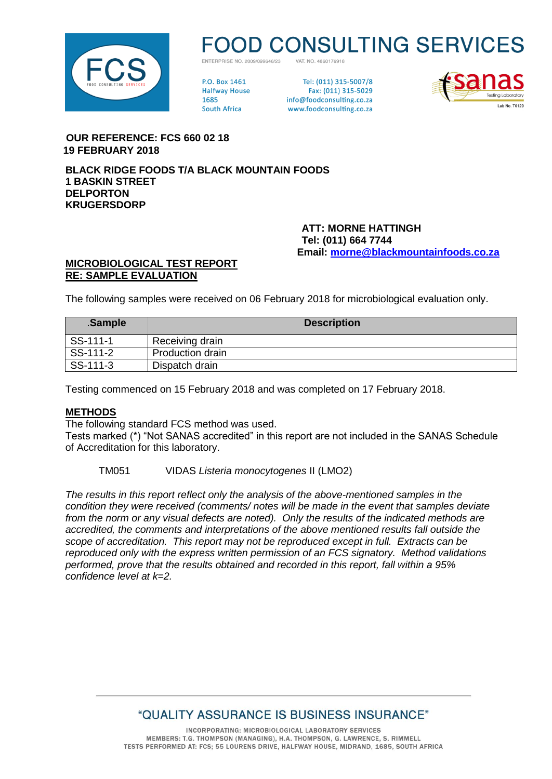

# **D CONSULTING SERVICES**

VAT NO 4860176918 ENTERPRISE NO 2009/099646/23

**PO Rox 1461 Halfway House** 1685 **South Africa** 

Tel: (011) 315-5007/8 Fax: (011) 315-5029 info@foodconsulting.co.za www.foodconsulting.co.za



 **OUR REFERENCE: FCS 660 02 18 19 FEBRUARY 2018**

**BLACK RIDGE FOODS T/A BLACK MOUNTAIN FOODS 1 BASKIN STREET DELPORTON KRUGERSDORP**

> **ATT: MORNE HATTINGH Tel: (011) 664 7744 Email: [morne@blackmountainfoods.co.za](mailto:morne@blackmountainfoods.co.za)**

#### **MICROBIOLOGICAL TEST REPORT RE: SAMPLE EVALUATION**

The following samples were received on 06 February 2018 for microbiological evaluation only.

| .Sample  | <b>Description</b> |
|----------|--------------------|
| SS-111-1 | Receiving drain    |
| SS-111-2 | Production drain   |
| SS-111-3 | Dispatch drain     |

Testing commenced on 15 February 2018 and was completed on 17 February 2018.

#### **METHODS**

The following standard FCS method was used.

Tests marked (\*) "Not SANAS accredited" in this report are not included in the SANAS Schedule of Accreditation for this laboratory.

TM051 VIDAS *Listeria monocytogenes* II (LMO2)

*The results in this report reflect only the analysis of the above-mentioned samples in the condition they were received (comments/ notes will be made in the event that samples deviate from the norm or any visual defects are noted). Only the results of the indicated methods are accredited, the comments and interpretations of the above mentioned results fall outside the scope of accreditation. This report may not be reproduced except in full. Extracts can be reproduced only with the express written permission of an FCS signatory. Method validations performed, prove that the results obtained and recorded in this report, fall within a 95% confidence level at k=2.*

## "QUALITY ASSURANCE IS BUSINESS INSURANCE"

INCORPORATING: MICROBIOLOGICAL LABORATORY SERVICES MEMBERS: T.G. THOMPSON (MANAGING), H.A. THOMPSON, G. LAWRENCE, S. RIMMELL TESTS PERFORMED AT: FCS; 55 LOURENS DRIVE, HALFWAY HOUSE, MIDRAND, 1685, SOUTH AFRICA